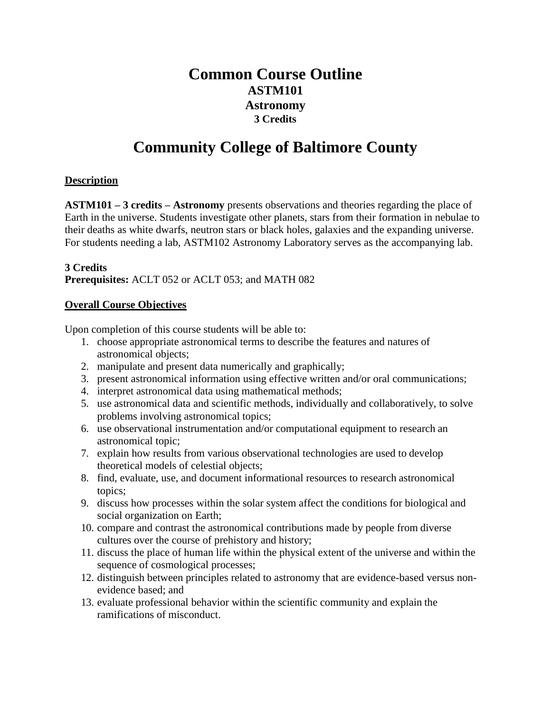## **Common Course Outline ASTM101 Astronomy 3 Credits**

# **Community College of Baltimore County**

#### **Description**

**ASTM101 – 3 credits – Astronomy** presents observations and theories regarding the place of Earth in the universe. Students investigate other planets, stars from their formation in nebulae to their deaths as white dwarfs, neutron stars or black holes, galaxies and the expanding universe. For students needing a lab, ASTM102 Astronomy Laboratory serves as the accompanying lab.

#### **3 Credits**

**Prerequisites:** ACLT 052 or ACLT 053; and MATH 082

#### **Overall Course Objectives**

Upon completion of this course students will be able to:

- 1. choose appropriate astronomical terms to describe the features and natures of astronomical objects;
- 2. manipulate and present data numerically and graphically;
- 3. present astronomical information using effective written and/or oral communications;
- 4. interpret astronomical data using mathematical methods;
- 5. use astronomical data and scientific methods, individually and collaboratively, to solve problems involving astronomical topics;
- 6. use observational instrumentation and/or computational equipment to research an astronomical topic;
- 7. explain how results from various observational technologies are used to develop theoretical models of celestial objects;
- 8. find, evaluate, use, and document informational resources to research astronomical topics;
- 9. discuss how processes within the solar system affect the conditions for biological and social organization on Earth;
- 10. compare and contrast the astronomical contributions made by people from diverse cultures over the course of prehistory and history;
- 11. discuss the place of human life within the physical extent of the universe and within the sequence of cosmological processes;
- 12. distinguish between principles related to astronomy that are evidence-based versus nonevidence based; and
- 13. evaluate professional behavior within the scientific community and explain the ramifications of misconduct.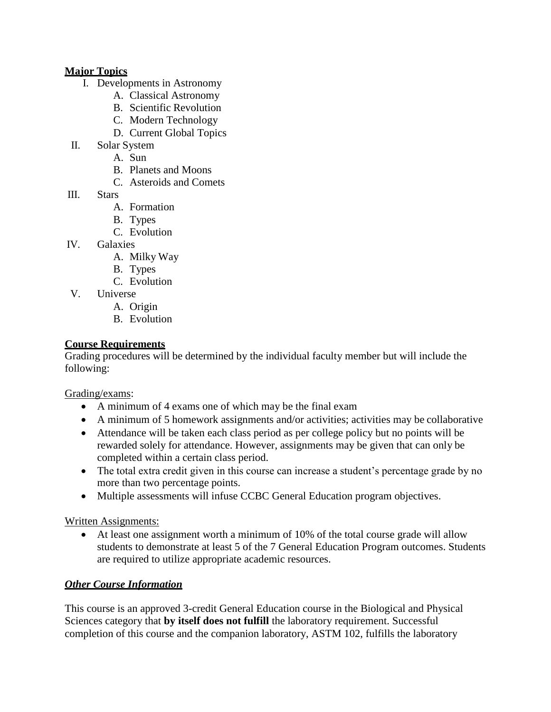#### **Major Topics**

- I. Developments in Astronomy
	- A. Classical Astronomy
	- B. Scientific Revolution
	- C. Modern Technology
	- D. Current Global Topics
- II. Solar System
	- A. Sun
		- B. Planets and Moons
		- C. Asteroids and Comets
- III. Stars
	- A. Formation
	- B. Types
	- C. Evolution
- IV. Galaxies
	- A. Milky Way
	- B. Types
	- C. Evolution
- V. Universe
	- A. Origin
	- B. Evolution

#### **Course Requirements**

Grading procedures will be determined by the individual faculty member but will include the following:

Grading/exams:

- A minimum of 4 exams one of which may be the final exam
- A minimum of 5 homework assignments and/or activities; activities may be collaborative
- Attendance will be taken each class period as per college policy but no points will be rewarded solely for attendance. However, assignments may be given that can only be completed within a certain class period.
- The total extra credit given in this course can increase a student's percentage grade by no more than two percentage points.
- Multiple assessments will infuse CCBC General Education program objectives.

Written Assignments:

 At least one assignment worth a minimum of 10% of the total course grade will allow students to demonstrate at least 5 of the 7 General Education Program outcomes. Students are required to utilize appropriate academic resources.

### *Other Course Information*

This course is an approved 3-credit General Education course in the Biological and Physical Sciences category that **by itself does not fulfill** the laboratory requirement. Successful completion of this course and the companion laboratory, ASTM 102, fulfills the laboratory